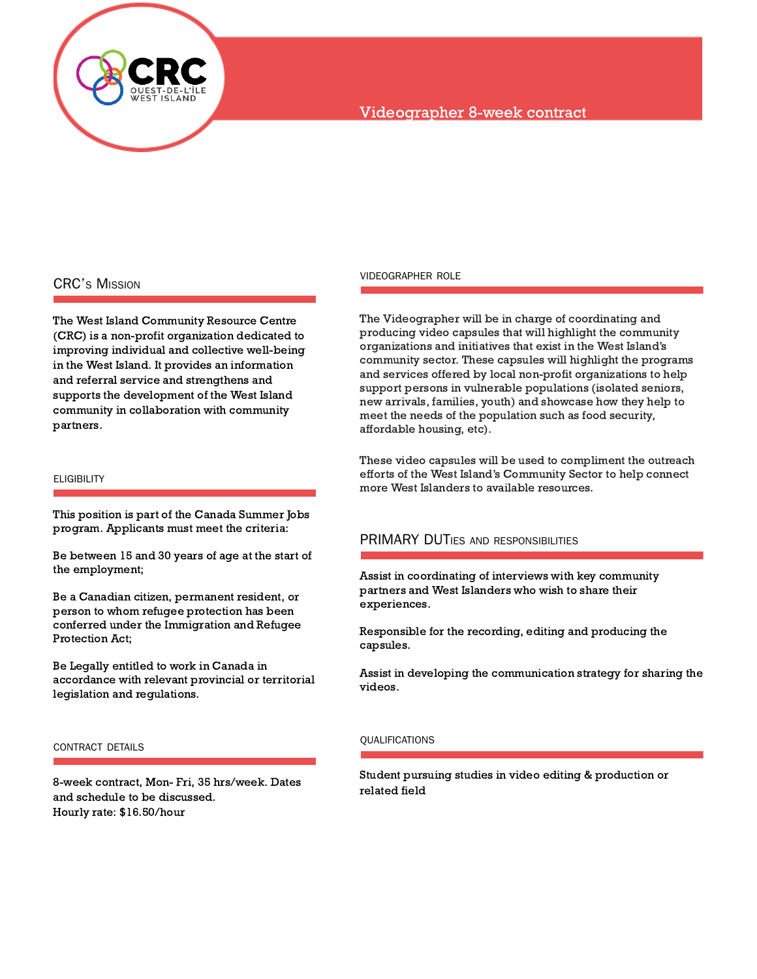

# Videographer 8-week contract

## CRC'S MISSION

The West Island Community Resource Centre (CRC) is a non-profit organization dedicated to improving individual and collective well-being in the West Island. It provides an information and referral service and strengthens and supports the development of the West Island community in collaboration with community partners.

### **ELIGIBILITY**

This position is part of the Canada Summer Jobs program. Applicants must meet the criteria:

Be between 15 and 30 years of age at the start of the employment;

Be a Canadian citizen, permanent resident, or person to whom refugee protection has been conferred under the Immigration and Refugee Protection Act;

Be Legally entitled to work in Canada in accordance with relevant provincial or territorial legislation and regulations.

#### CONTRACT DETAILS

8-week contract, Mon- Fri, 35 hrs/week. Dates and schedule to be discussed. Hourly rate: \$16.50/hour

#### VIDEOGRAPHER ROLE

The Videographer will be in charge of coordinating and producing video capsules that will highlight the community organizations and initiatives that exist in the West Island's community sector. These capsules will highlight the programs and services offered by local non-profit organizations to help support persons in vulnerable populations (isolated seniors, new arrivals, families, youth) and showcase how they help to meet the needs of the population such as food security, affordable housing, etc).

These video capsules will be used to compliment the outreach efforts of the West Island's Community Sector to help connect more West Islanders to available resources.

### PRIMARY DUTIES AND RESPONSIBILITIES

Assist in coordinating of interviews with key community partners and West Islanders who wish to share their experiences.

Responsible for the recording, editing and producing the capsules.

Assist in developing the communication strategy for sharing the videos.

#### QUALIFICATIONS

Student pursuing studies in video editing & production or related field